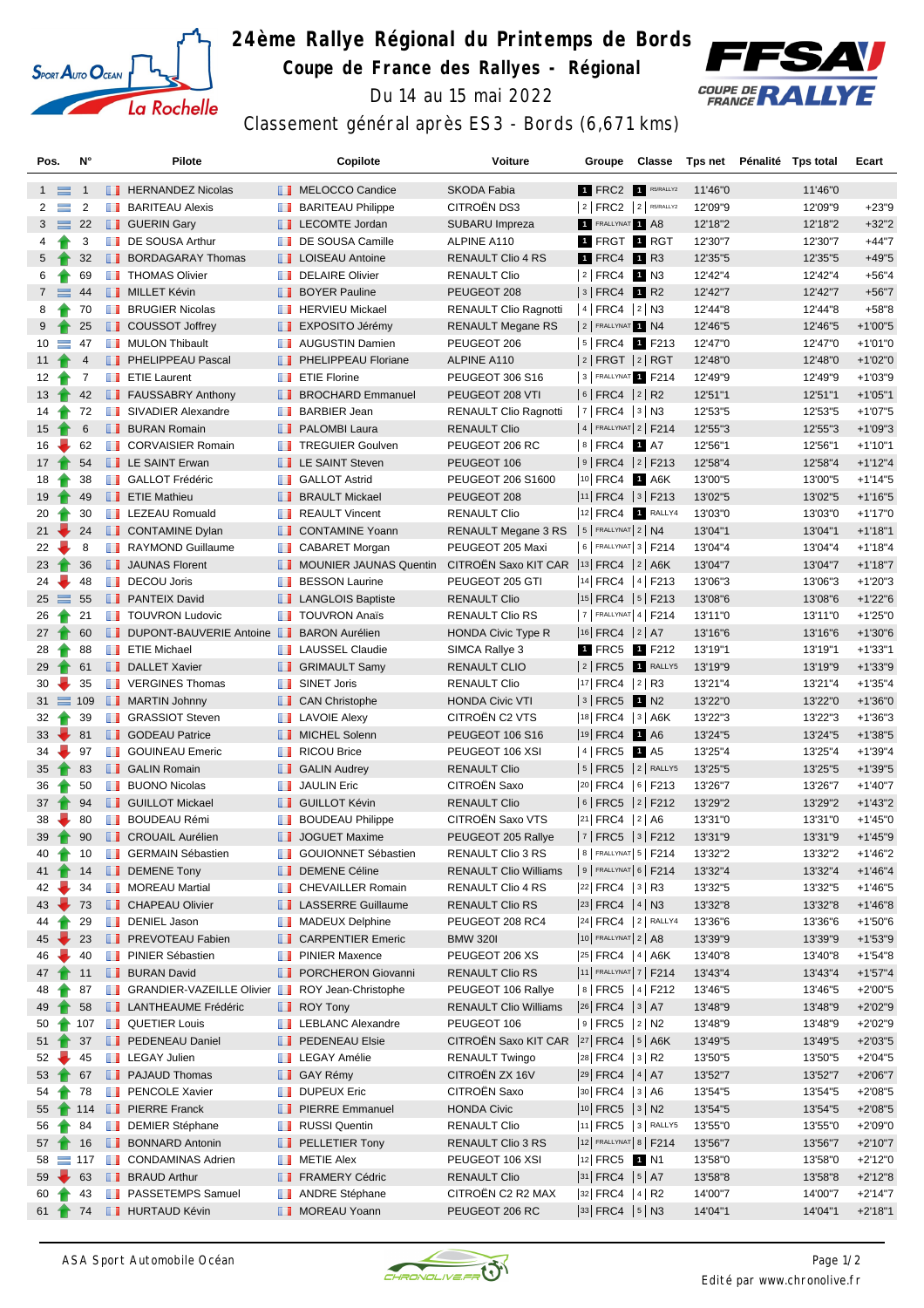

## **24ème Rallye Régional du Printemps de Bords Coupe de France des Rallyes - Régional** Du 14 au 15 mai 2022



Classement général après ES3 - Bords (6,671 kms)

| Pos.            |          | N°             |               | Pilote                                           |               | Copilote                                       | Voiture                                   | Groupe                                                                           |      | Classe | Tps net | Pénalité | Tps total | Ecart      |
|-----------------|----------|----------------|---------------|--------------------------------------------------|---------------|------------------------------------------------|-------------------------------------------|----------------------------------------------------------------------------------|------|--------|---------|----------|-----------|------------|
| $1 \equiv$      |          | $\mathbf{1}$   |               | <b>FERNANDEZ Nicolas</b>                         |               | MELOCCO Candice                                | <b>SKODA Fabia</b>                        | 1 FRC2 1 R5/RALLY2                                                               |      |        | 11'46"0 |          | 11'46"0   |            |
| 2               | $\equiv$ | 2              |               | <b>BARITEAU Alexis</b>                           |               | <b>BARITEAU Philippe</b>                       | CITROËN DS3                               | $ 2 $ FRC2 $ 2 $ R5/RALLY2                                                       |      |        | 12'09"9 |          | 12'09"9   | $+23"9$    |
| 3               | $\equiv$ | 22             |               | <b>B</b> GUERIN Gary                             |               | LECOMTE Jordan                                 | SUBARU Impreza                            | FRALLYNAT 1 A8                                                                   |      |        | 12'18"2 |          | 12'18"2   | $+32"2$    |
| 4               |          | 3              |               | DE SOUSA Arthur                                  | ш             | DE SOUSA Camille                               | ALPINE A110                               | 1 FRGT 1 RGT                                                                     |      |        | 12'30"7 |          | 12'30"7   | $+44"7$    |
| $5^{\circ}$     |          | 32             |               | <b>BORDAGARAY Thomas</b>                         |               | <b>LE</b> LOISEAU Antoine                      | <b>RENAULT Clio 4 RS</b>                  | 1 FRC4                                                                           | 1 R3 |        | 12'35"5 |          | 12'35"5   | $+49"5$    |
| 6               |          | 69             |               | <b>THOMAS Olivier</b>                            | w             | <b>DELAIRE Olivier</b>                         | <b>RENAULT Clio</b>                       | $ 2 $ FRC4                                                                       | 1 N3 |        | 12'42"4 |          | 12'42"4   | $+56"4$    |
| $7^{\circ}$     |          | 44             |               | <b>NILLET Kévin</b>                              |               | <b>BOYER Pauline</b>                           | PEUGEOT 208                               | $ 3 $ FRC4 1 R2                                                                  |      |        | 12'42"7 |          | 12'42"7   | $+56"7$    |
| 8               |          | 70             | <b>The Co</b> | <b>BRUGIER Nicolas</b>                           |               | <b>FERVIEU Mickael</b>                         | <b>RENAULT Clio Ragnotti</b>              | $ 4 $ FRC4 $ 2 $ N3                                                              |      |        | 12'44"8 |          | 12'44"8   | $+58"8$    |
| 9               |          | 25             |               | COUSSOT Joffrey                                  |               | <b>EXPOSITO Jérémy</b>                         | RENAULT Megane RS                         | 2 FRALLYNAT 1 N4                                                                 |      |        | 12'46"5 |          | 12'46"5   | $+1'00"5$  |
| 10              |          | 47             |               | <b>NULON Thibault</b>                            |               | <b>NET</b> AUGUSTIN Damien                     | PEUGEOT 206                               | $ 5 $ FRC4                                                                       |      | 1 F213 | 12'47"0 |          | 12'47"0   | $+1'01"0$  |
| 11              |          | $\overline{4}$ |               | <b>FELIPPEAU Pascal</b>                          | ш.            | PHELIPPEAU Floriane                            | ALPINE A110                               | $ 2 $ FRGT $ 2 $ RGT                                                             |      |        | 12'48"0 |          | 12'48"0   | $+1'02"0$  |
| 12              |          | 7              |               | <b>Example T</b> ETIE Laurent                    | <b>THE R</b>  | <b>ETIE Florine</b>                            | PEUGEOT 306 S16                           | 3 FRALLYNAT 1 F214                                                               |      |        | 12'49"9 |          | 12'49"9   | $+1'03''9$ |
| 13 <sup>2</sup> |          | 42             |               | FAUSSABRY Anthony                                |               | <b>BROCHARD Emmanuel</b>                       | PEUGEOT 208 VTI                           | $ 6 $ FRC4 $ 2 $ R2                                                              |      |        | 12'51"1 |          | 12'51"1   | $+1'05"1$  |
| 14              |          | 72             |               | SIVADIER Alexandre                               | w             | <b>BARBIER Jean</b>                            | <b>RENAULT Clio Ragnotti</b>              | $ 7 $ FRC4 $ 3 $ N3                                                              |      |        | 12'53"5 |          | 12'53"5   | $+1'07"5$  |
| 15              |          | 6              |               | <b>BURAN Romain</b>                              |               | <b>PALOMBI Laura</b>                           | <b>RENAULT Clio</b>                       | $ 4 $ FRALLYNAT $ 2 $ F214                                                       |      |        | 12'55"3 |          | 12'55"3   | $+1'09"3$  |
| 16              |          | 62             |               | CORVAISIER Romain                                | m             | <b>TREGUIER Goulven</b>                        | PEUGEOT 206 RC                            | $ 8 $ FRC4                                                                       | 1 A7 |        | 12'56"1 |          | 12'56"1   | $+1'10"1$  |
| 17 <sup>2</sup> |          | 54             |               | <b>LE SAINT Erwan</b>                            |               | <b>LE SAINT Steven</b>                         | PEUGEOT 106                               | $ 9 $ FRC4  2   F213                                                             |      |        | 12'58"4 |          | 12'58"4   | $+1'12''4$ |
| 18              |          | 38             |               | <b>B</b> GALLOT Frédéric                         |               | <b>B</b> GALLOT Astrid                         | PEUGEOT 206 S1600                         | 10 FRC4 1 A6K                                                                    |      |        | 13'00"5 |          | 13'00"5   | $+1'14"5$  |
| 19              |          | 49             |               | $\blacksquare$ ETIE Mathieu                      |               | <b>BRAULT Mickael</b>                          | PEUGEOT 208                               | $ 11 $ FRC4 $ 3 $ F213                                                           |      |        | 13'02"5 |          | 13'02"5   | $+1'16"5$  |
| 20              |          | 30             |               | <b>EXECUED</b> LEZEAU Romuald                    |               | REAULT Vincent                                 | <b>RENAULT Clio</b>                       | 12 FRC4 1 RALLY4                                                                 |      |        | 13'03"0 |          | 13'03"0   | $+1'17"0$  |
| 21              |          | 24             |               | CONTAMINE Dylan                                  |               | <b>CONTAMINE Yoann</b>                         | RENAULT Megane 3 RS                       | $5$ FRALLYNAT $2$ N4                                                             |      |        | 13'04"1 |          | 13'04"1   | $+1'18"1$  |
| 22              |          | 8              |               | RAYMOND Guillaume                                | m             | <b>CABARET Morgan</b>                          | PEUGEOT 205 Maxi                          | 6   FRALLYNAT 3   F214                                                           |      |        | 13'04"4 |          | 13'04"4   | $+1'18''4$ |
| 23              |          | 36             |               | <b>JAUNAS Florent</b>                            |               | MOUNIER JAUNAS Quentin                         | CITROËN Saxo KIT CAR  13 FRC4   2   A6K   |                                                                                  |      |        | 13'04"7 |          | 13'04"7   | $+1'18"7$  |
| 24              |          | 48             |               | <b>DECOU Joris</b>                               | <b>The Co</b> | <b>BESSON Laurine</b>                          | PEUGEOT 205 GTI                           | $ 14 $ FRC4 $ 4 $ F213                                                           |      |        | 13'06"3 |          | 13'06"3   | $+1'20''3$ |
| 25              | $\equiv$ | 55             |               | <b>PANTEIX David</b>                             |               | <b>LANGLOIS Baptiste</b>                       | <b>RENAULT Clio</b>                       | $ 15 $ FRC4 $ 5 $ F213                                                           |      |        | 13'08"6 |          | 13'08"6   | $+1'22"6$  |
| 26              |          | 21             |               | <b>TOUVRON Ludovic</b>                           | m             | <b>TOUVRON Anaïs</b>                           | <b>RENAULT Clio RS</b>                    | $ 7 $ FRALLYNAT 4   F214                                                         |      |        | 13'11"0 |          | 13'11"0   | $+1'25"0$  |
| 27              |          | 60             |               | <b>DUPONT-BAUVERIE Antoine BEARON Aurélien</b>   |               |                                                | <b>HONDA Civic Type R</b>                 | $ 16 $ FRC4 $ 2 $ A7                                                             |      |        | 13'16"6 |          | 13'16"6   | $+1'30''6$ |
| 28              |          | 88             |               | <b>FE</b> ETIE Michael                           | ш             | <b>LAUSSEL Claudie</b>                         | SIMCA Rallye 3                            | 1 FRC5 1 F212                                                                    |      |        | 13'19"1 |          | 13'19"1   | $+1'33"1$  |
|                 |          |                |               |                                                  |               |                                                |                                           |                                                                                  |      |        |         |          |           |            |
| 29              |          | 61             |               | <b>DALLET Xavier</b><br><b>T</b> VERGINES Thomas |               | <b>B</b> GRIMAULT Samy<br><b>B</b> SINET Joris | <b>RENAULT CLIO</b>                       | $2$ FRC5 $1$ RALLY5<br>$ 17 $ FRC4 $ 2 $ R3                                      |      |        | 13'19"9 |          | 13'19"9   | $+1'33''9$ |
| 30              |          | 35             |               |                                                  |               |                                                | <b>RENAULT Clio</b>                       |                                                                                  |      |        | 13'21"4 |          | 13'21"4   | $+1'35''4$ |
| $31 \equiv 109$ |          |                |               | <b>NARTIN Johnny</b>                             |               | <b>CAN Christophe</b>                          | <b>HONDA Civic VTI</b>                    | $ 3 $ FRC5 1 N2                                                                  |      |        | 13'22"0 |          | 13'22"0   | $+1'36'0$  |
| 32              |          | 39             |               | <b>B</b> GRASSIOT Steven                         |               | <b>T</b> LAVOIE Alexy                          | CITROËN C2 VTS                            | 18 FRC4 3 A6K                                                                    |      |        | 13'22"3 |          | 13'22"3   | $+1'36''3$ |
| 33              |          | 81             |               | <b>B</b> GODEAU Patrice                          |               | MICHEL Solenn                                  | <b>PEUGEOT 106 S16</b>                    | 19 FRC4                                                                          | 1 A6 |        | 13'24"5 |          | 13'24"5   | $+1'38"5$  |
| 34              |          | 97             |               | <b>SOUINEAU Emeric</b>                           | w             | <b>RICOU Brice</b>                             | PEUGEOT 106 XSI                           | 4 FRC5 1 A5                                                                      |      |        | 13'25"4 |          | 13'25"4   | $+1'39''4$ |
| 35              |          | 83             |               | <b>B</b> GALIN Romain                            |               | <b>B</b> GALIN Audrey                          | <b>RENAULT Clio</b>                       | $ 5 $ FRC5 $ 2 $ RALLYS                                                          |      |        | 13'25"5 |          | 13'25"5   | $+1'39"5$  |
| 36              |          | 50             |               | <b>BUONO Nicolas</b>                             |               | <b>JAULIN Eric</b>                             | CITROËN Saxo                              | 20 FRC4 6 F213                                                                   |      |        | 13'26"7 |          | 13'26"7   | $+1'40''7$ |
| 37              |          | 94             |               | <b>B</b> GUILLOT Mickael                         | ш             | <b>GUILLOT Kévin</b>                           | <b>RENAULT Clio</b>                       | 6 FRC5 2 F212                                                                    |      |        | 13'29"2 |          | 13'29"2   | $+1'43''2$ |
| 38              |          | 80             | ш             | <b>BOUDEAU Rémi</b>                              |               | <b>BOUDEAU Philippe</b>                        | CITROËN Saxo VTS                          | $ 21 $ FRC4 $ 2 $ A6                                                             |      |        | 13'31"0 |          | 13'31"0   | $+1'45"0$  |
| 39              |          | 90             |               | <b>CROUAIL Aurélien</b>                          |               | JOGUET Maxime                                  | PEUGEOT 205 Rallye                        | 7   FRC5   3   F212                                                              |      |        | 13'31"9 |          | 13'31"9   | $+1'45''9$ |
| 40              | т        | 10             |               | <b>BERMAIN Sébastien</b>                         | ш             | GOUIONNET Sébastien                            | RENAULT Clio 3 RS                         | 8   FRALLYNAT 5   F214                                                           |      |        | 13'32"2 |          | 13'32"2   | $+1'46''2$ |
| 41              |          | 14             |               | DEMENE Tony                                      |               | <b>DEMENE Céline</b>                           | <b>RENAULT Clio Williams</b>              | $ 9 $ FRALLYNAT 6   F214                                                         |      |        | 13'32"4 |          | 13'32"4   | $+1'46''4$ |
| 42              |          | 34             |               | <b>NOREAU Martial</b>                            |               | <b>CHEVAILLER Romain</b>                       | RENAULT Clio 4 RS                         | $ 22 $ FRC4 $ 3 $ R3                                                             |      |        | 13'32"5 |          | 13'32"5   | $+1'46''5$ |
| $43 -$          |          | 73             |               | <b>CHAPEAU Olivier</b>                           |               | <b>LE</b> LASSERRE Guillaume                   | RENAULT Clio RS                           | $\left  \begin{array}{c c} 23 & \text{FRC4} & 4 & \text{N3} \end{array} \right $ |      |        | 13'32"8 |          | 13'32"8   | $+1'46''8$ |
| 44              |          | 29             |               | <b>DENIEL Jason</b>                              |               | <b>NADEUX Delphine</b>                         | PEUGEOT 208 RC4                           | 24 FRC4 2 RALLY4                                                                 |      |        | 13'36"6 |          | 13'36"6   | +1'50"6    |
| 45              |          | 23             |               | <b>FREVOTEAU Fabien</b>                          |               | <b>CARPENTIER Emeric</b>                       | <b>BMW 320I</b>                           | $10$ FRALLYNAT $2$ A8                                                            |      |        | 13'39"9 |          | 13'39"9   | $+1'53''9$ |
| 46              |          | 40             |               | <b>FI</b> PINIER Sébastien                       |               | <b>FI</b> PINIER Maxence                       | PEUGEOT 206 XS                            | $\vert$ 25 FRC4 $\vert$ 4 $\vert$ A6K                                            |      |        | 13'40"8 |          | 13'40"8   | $+1'54''8$ |
| 47              |          | 11             |               | <b>BURAN David</b>                               |               | <b>F</b> PORCHERON Giovanni                    | RENAULT Clio RS                           | 11 FRALLYNAT 7   F214                                                            |      |        | 13'43"4 |          | 13'43"4   | $+1'57''4$ |
| 48              |          | 87             |               | GRANDIER-VAZEILLE Olivier ROY Jean-Christophe    |               |                                                | PEUGEOT 106 Rallye                        | 8 FRC5 4 F212                                                                    |      |        | 13'46"5 |          | 13'46"5   | $+2'00"5$  |
| 49              |          | 58             |               | <b>LANTHEAUME Frédéric</b>                       |               | $\blacksquare$ ROY Tony                        | <b>RENAULT Clio Williams</b>              | $\left  \right $ 26 FRC4 $\left  \right $ 3 A7                                   |      |        | 13'48"9 |          | 13'48"9   | $+2'02"9$  |
| 50              |          | 107            |               | <b>QUETIER Louis</b>                             |               | <b>EXECUTE LEBLANC Alexandre</b>               | PEUGEOT 106                               | $ 9 $ FRC5 $ 2 $ N2                                                              |      |        | 13'48"9 |          | 13'48"9   | $+2'02"9$  |
| 51              |          | 37             |               | <b>PEDENEAU Daniel</b>                           |               | <b>PEDENEAU Elsie</b>                          | CITROËN Saxo KIT CAR  27   FRC4   5   A6K |                                                                                  |      |        | 13'49"5 |          | 13'49"5   | $+2'03"5$  |
| 52              |          | 45             |               | <b>LEGAY Julien</b>                              |               | <b>EXECAY Amélie</b>                           | <b>RENAULT Twingo</b>                     | $ 28 $ FRC4 $ 3 $ R2                                                             |      |        | 13'50"5 |          | 13'50"5   | $+2'04"5$  |
| 53              |          | 67             |               | <b>PAJAUD Thomas</b>                             |               | <b>B</b> GAY Rémy                              | CITROËN ZX 16V                            | 29 FRC4   4   A7                                                                 |      |        | 13'52"7 |          | 13'52"7   | $+2'06''7$ |
| 54              |          | 78             |               | <b>FENCOLE Xavier</b>                            |               | DUPEUX Eric                                    | <b>CITROEN Saxo</b>                       | $ 30 $ FRC4 $ 3 $ A6                                                             |      |        | 13'54"5 |          | 13'54"5   | $+2'08"5$  |
| 55              |          | 114            |               | <b>FI</b> PIERRE Franck                          |               | <b>PIERRE Emmanuel</b>                         | <b>HONDA Civic</b>                        | $ 10 $ FRC5 $ 3 $ N2                                                             |      |        | 13'54"5 |          | 13'54"5   | $+2'08"5$  |
| 56              |          | 84             |               | <b>DEMIER Stéphane</b>                           |               | <b>RUSSI</b> Quentin                           | <b>RENAULT Clio</b>                       | 11 FRC5 3 RALLY5                                                                 |      |        | 13'55"0 |          | 13'55"0   | $+2'09"0$  |
| 57              |          | 16             |               | <b>BONNARD Antonin</b>                           |               | <b>PELLETIER Tony</b>                          | RENAULT Clio 3 RS                         | 12 FRALLYNAT 8   F214                                                            |      |        | 13'56"7 |          | 13'56"7   | $+2'10''7$ |
| 58              |          | $\equiv$ 117   |               | <b>CONDAMINAS Adrien</b>                         |               | <b>NETIE Alex</b>                              | PEUGEOT 106 XSI                           | <sup>12</sup> FRC5 <b>1</b> N1                                                   |      |        | 13'58"0 |          | 13'58"0   | $+2'12"0$  |
| 59              |          | 63             |               | <b>BRAUD Arthur</b>                              |               | FRAMERY Cédric                                 | RENAULT Clio                              | $ 31 $ FRC4 $ 5 $ A7                                                             |      |        | 13'58"8 |          | 13'58"8   | $+2'12"8$  |
| 60              |          | 43             |               | <b>Fig.</b> PASSETEMPS Samuel                    |               | <b>ANDRE Stéphane</b>                          | CITROËN C2 R2 MAX                         | $ 32 $ FRC4 $ 4 $ R2                                                             |      |        | 14'00"7 |          | 14'00"7   | +2'14"7    |
| 61              |          | 74             |               | <b>HURTAUD Kévin</b>                             |               | MOREAU Yoann                                   | PEUGEOT 206 RC                            | 33 FRC4 5 N3                                                                     |      |        | 14'04"1 |          | 14'04"1   | +2'18"1    |